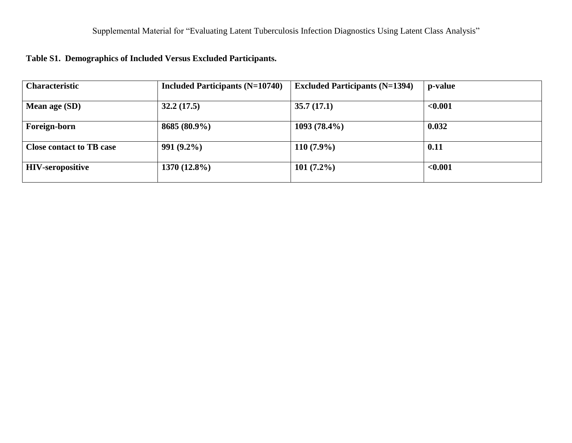| <b>Characteristic</b>           | Included Participants $(N=10740)$ | <b>Excluded Participants (N=1394)</b> | p-value |
|---------------------------------|-----------------------------------|---------------------------------------|---------|
| Mean age (SD)                   | 32.2(17.5)                        | 35.7(17.1)                            | < 0.001 |
| Foreign-born                    | 8685 (80.9%)                      | $1093(78.4\%)$                        | 0.032   |
| <b>Close contact to TB case</b> | $991(9.2\%)$                      | $110(7.9\%)$                          | 0.11    |
| <b>HIV-seropositive</b>         | $1370(12.8\%)$                    | $101(7.2\%)$                          | < 0.001 |

# **Table S1. Demographics of Included Versus Excluded Participants.**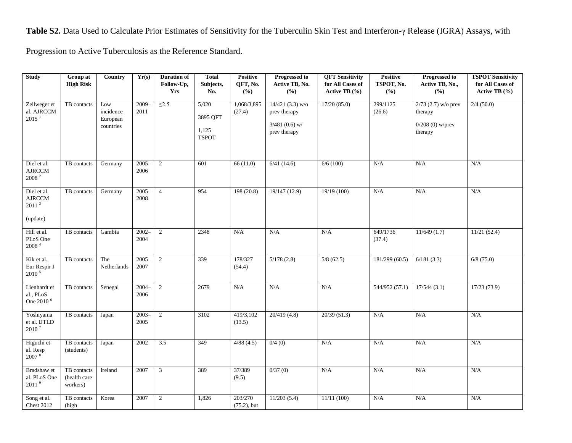**Table S2.** Data Used to Calculate Prior Estimates of Sensitivity for the Tuberculin Skin Test and Interferon-γ Release (IGRA) Assays, with

Progression to Active Tuberculosis as the Reference Standard.

| <b>Study</b>                                                  | Group at<br><b>High Risk</b>            | Country                                   | Yr(s)            | <b>Duration of</b><br>Follow-Up, | <b>Total</b><br>Subjects,                  | <b>Positive</b><br>QFT, No. | <b>Progressed to</b><br>Active TB, No.                                 | <b>QFT Sensitivity</b><br>for All Cases of | Positive<br>TSPOT, No. | <b>Progressed to</b><br>Active TB, No.,                           | <b>TSPOT Sensitivity</b><br>for All Cases of |
|---------------------------------------------------------------|-----------------------------------------|-------------------------------------------|------------------|----------------------------------|--------------------------------------------|-----------------------------|------------------------------------------------------------------------|--------------------------------------------|------------------------|-------------------------------------------------------------------|----------------------------------------------|
|                                                               |                                         |                                           |                  | <b>Yrs</b>                       | No.                                        | (%)                         | (9/0)                                                                  | Active TB $(\% )$                          | (9/0)                  | (%)                                                               | Active TB $(\% )$                            |
| Zellweger et<br>al. AJRCCM<br>2015 <sup>1</sup>               | TB contacts                             | Low<br>incidence<br>European<br>countries | $2009 -$<br>2011 | $\leq$ 2.5                       | 5,020<br>3895 QFT<br>1,125<br><b>TSPOT</b> | 1,068/3,895<br>(27.4)       | $14/421$ (3.3) w/o<br>prev therapy<br>$3/481$ (0.6) w/<br>prev therapy | 17/20(85.0)                                | 299/1125<br>(26.6)     | $2/73$ (2.7) w/o prev<br>therapy<br>$0/208$ (0) w/prev<br>therapy | 2/4(50.0)                                    |
| Diel et al.<br><b>AJRCCM</b><br>$2008$ $^2$                   | TB contacts                             | Germany                                   | $2005 -$<br>2006 | $\overline{c}$                   | 601                                        | 66(11.0)                    | 6/41(14.6)                                                             | 6/6(100)                                   | N/A                    | N/A                                                               | N/A                                          |
| Diel et al.<br><b>AJRCCM</b><br>2011 <sup>3</sup><br>(update) | TB contacts                             | Germany                                   | $2005 -$<br>2008 | $\overline{4}$                   | 954                                        | 198(20.8)                   | 19/147 (12.9)                                                          | 19/19(100)                                 | N/A                    | N/A                                                               | N/A                                          |
| Hill et al.<br>PLoS One<br>$2008$ $^4\,$                      | TB contacts                             | Gambia                                    | $2002 -$<br>2004 | $\overline{c}$                   | 2348                                       | N/A                         | N/A                                                                    | N/A                                        | 649/1736<br>(37.4)     | 11/649(1.7)                                                       | 11/21(52.4)                                  |
| Kik et al.<br>Eur Respir J<br>2010 <sup>5</sup>               | TB contacts                             | The<br>Netherlands                        | $2005 -$<br>2007 | $\overline{c}$                   | 339                                        | 178/327<br>(54.4)           | 5/178(2.8)                                                             | 5/8(62.5)                                  | 181/299(60.5)          | 6/181(3.3)                                                        | $6/8$ (75.0)                                 |
| Lienhardt et<br>al., PLoS<br>One 2010 <sup>6</sup>            | TB contacts                             | Senegal                                   | $2004 -$<br>2006 | 2                                | 2679                                       | N/A                         | N/A                                                                    | N/A                                        | 544/952 (57.1)         | 17/544(3.1)                                                       | 17/23(73.9)                                  |
| Yoshiyama<br>et al. IJTLD<br>2010 <sup>7</sup>                | TB contacts                             | Japan                                     | $2003-$<br>2005  | $\overline{2}$                   | 3102                                       | 419/3,102<br>(13.5)         | 20/419 (4.8)                                                           | 20/39(51.3)                                | N/A                    | N/A                                                               | N/A                                          |
| Higuchi et<br>al. Resp<br>2007 <sup>8</sup>                   | TB contacts<br>(students)               | Japan                                     | 2002             | $\overline{3.5}$                 | 349                                        | 4/88(4.5)                   | 0/4(0)                                                                 | N/A                                        | N/A                    | N/A                                                               | N/A                                          |
| Bradshaw et<br>al. PLoS One<br>2011 <sup>9</sup>              | TB contacts<br>(health care<br>workers) | Ireland                                   | 2007             | 3                                | 389                                        | 37/389<br>(9.5)             | 0/37(0)                                                                | N/A                                        | N/A                    | N/A                                                               | N/A                                          |
| Song et al.<br><b>Chest 2012</b>                              | TB contacts<br>(high                    | Korea                                     | 2007             | $\overline{c}$                   | 1,826                                      | 203/270<br>$(75.2)$ , but   | 11/203(5.4)                                                            | 11/11(100)                                 | N/A                    | N/A                                                               | N/A                                          |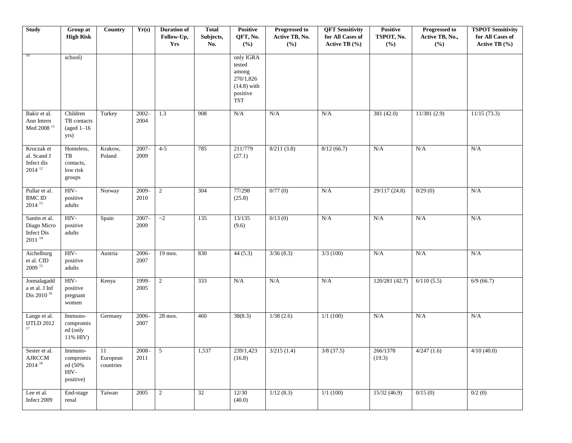| <b>Study</b>                                                    | Group at<br><b>High Risk</b>                         | <b>Country</b>              | Yr(s)              | <b>Duration of</b><br>Follow-Up,<br>Yrs | <b>Total</b><br>Subjects,<br>No. | <b>Positive</b><br>QFT, No.<br>(%)                                                   | <b>Progressed to</b><br>Active TB, No.<br>(%) | <b>QFT</b> Sensitivity<br>for All Cases of<br>Active TB (%) | Positive<br>TSPOT, No.<br>(%) | <b>Progressed to</b><br>Active TB, No.,<br>(%) | <b>TSPOT Sensitivity</b><br>for All Cases of<br>Active TB (%) |
|-----------------------------------------------------------------|------------------------------------------------------|-----------------------------|--------------------|-----------------------------------------|----------------------------------|--------------------------------------------------------------------------------------|-----------------------------------------------|-------------------------------------------------------------|-------------------------------|------------------------------------------------|---------------------------------------------------------------|
| 10                                                              | school)                                              |                             |                    |                                         |                                  | only IGRA<br>tested<br>among<br>270/1,826<br>$(14.8)$ with<br>positive<br><b>TST</b> |                                               |                                                             |                               |                                                |                                                               |
| Bakir et al.<br>Ann Intern<br>Med $2008$ $^{\rm 11}$            | Children<br>TB contacts<br>$(aged 1-16)$<br>yrs)     | Turkey                      | $2002 -$<br>2004   | 1.3                                     | 908                              | $\rm N/A$                                                                            | N/A                                           | N/A                                                         | 381 (42.0)                    | 11/381(2.9)                                    | 11/15(73.3)                                                   |
| Kruczak et<br>al. Scand J<br>Infect dis<br>$2014$ <sup>12</sup> | Homeless,<br>TB<br>contacts,<br>low risk<br>groups   | Krakow,<br>Poland           | $2007 -$<br>2009   | $4 - 5$                                 | 785                              | 211/779<br>(27.1)                                                                    | 8/211(3.8)                                    | 8/12(66.7)                                                  | ${\bf N/A}$                   | ${\bf N/A}$                                    | N/A                                                           |
| Pullar et al.<br>${\rm BMC}$ ID<br>$2014^{13}$                  | HIV-<br>positive<br>adults                           | Norway                      | $2009 -$<br>2010   | $\overline{2}$                          | 304                              | 77/298<br>(25.8)                                                                     | 0/77(0)                                       | N/A                                                         | 29/117 (24.8)                 | 0/29(0)                                        | N/A                                                           |
| Santin et al.<br>Diagn Micro<br>Infect Dis<br>$2011^{14}$       | HIV-<br>positive<br>adults                           | Spain                       | $2007 -$<br>2009   | $\sim$ 2                                | 135                              | 13/135<br>(9.6)                                                                      | 0/13(0)                                       | N/A                                                         | N/A                           | N/A                                            | N/A                                                           |
| Aichelburg<br>et al. CID<br>$2009$ <sup>15</sup>                | $HIV-$<br>positive<br>adults                         | Austria                     | $2006 -$<br>2007   | $19 \text{ mos}$ .                      | 830                              | 44(5.3)                                                                              | 3/36(8.3)                                     | 3/3(100)                                                    | ${\bf N/A}$                   | ${\bf N/A}$                                    | $\rm N/A$                                                     |
| Jonnalagadd<br>a et al. J Inf<br>Dis 2010 <sup>16</sup>         | HIV-<br>positive<br>pregnant<br>women                | Kenya                       | 1999-<br>2005      | $\overline{2}$                          | 333                              | N/A                                                                                  | N/A                                           | N/A                                                         | 120/281 (42.7)                | 6/110(5.5)                                     | 6/9(66.7)                                                     |
| Lange et al.<br><b>IJTLD 2012</b><br>17                         | Immuno-<br>compromis<br>ed (only<br>11% HIV)         | Germany                     | $2006 -$<br>2007   | 28 mos.                                 | 460                              | 38(8.3)                                                                              | 1/38(2.6)                                     | 1/1(100)                                                    | N/A                           | N/A                                            | N/A                                                           |
| Sester et al.<br>AJRCCM<br>$2014^{18}$                          | -Immuno<br>compromis<br>ed (50%<br>HIV-<br>positive) | 11<br>European<br>countries | $2008 - 5$<br>2011 |                                         | 1,537                            | 239/1,423<br>(16.8)                                                                  | 3/215(1.4)                                    | $3/8$ (37.5)                                                | 266/1378<br>(19.3)            | 4/247(1.6)                                     | 4/10(40.0)                                                    |
| Lee et al.<br>Infect 2009                                       | End-stage<br>renal                                   | Taiwan                      | 2005               | $\overline{2}$                          | 32                               | 12/30<br>(40.0)                                                                      | 1/12(8.3)                                     | 1/1(100)                                                    | 15/32(46.9)                   | 0/15(0)                                        | 0/2(0)                                                        |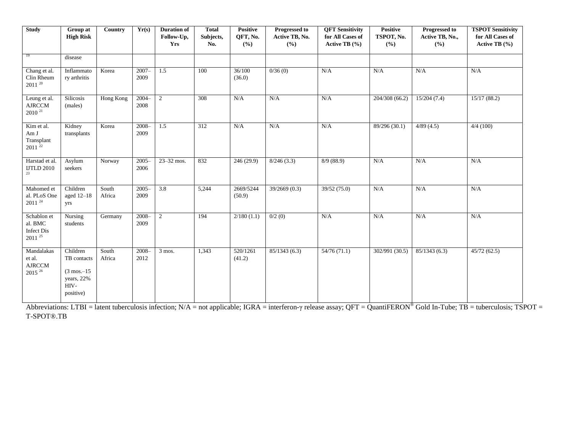| <b>Study</b>                                         | Group at<br><b>High Risk</b>                                                          | Country         | Yr(s)            | <b>Duration of</b><br>Follow-Up,<br>Yrs | <b>Total</b><br>Subjects,<br>No. | <b>Positive</b><br>QFT, No.<br>(%) | <b>Progressed to</b><br>Active TB, No.<br>(9/0) | <b>QFT Sensitivity</b><br>for All Cases of<br>Active TB $(\% )$ | <b>Positive</b><br>TSPOT, No.<br>(%) | <b>Progressed to</b><br>Active TB, No.,<br>(%) | <b>TSPOT Sensitivity</b><br>for All Cases of<br>Active TB $(\% )$ |
|------------------------------------------------------|---------------------------------------------------------------------------------------|-----------------|------------------|-----------------------------------------|----------------------------------|------------------------------------|-------------------------------------------------|-----------------------------------------------------------------|--------------------------------------|------------------------------------------------|-------------------------------------------------------------------|
| 19                                                   | disease                                                                               |                 |                  |                                         |                                  |                                    |                                                 |                                                                 |                                      |                                                |                                                                   |
| Chang et al.<br>Clin Rheum<br>$2011^{20}$            | Inflammato<br>ry arthritis                                                            | Korea           | $2007 -$<br>2009 | 1.5                                     | 100                              | 36/100<br>(36.0)                   | 0/36(0)                                         | N/A                                                             | N/A                                  | N/A                                            | N/A                                                               |
| Leung et al.<br>AJRCCM<br>$2010^{21}$                | <b>Silicosis</b><br>(males)                                                           | Hong Kong       | $2004 -$<br>2008 | 2                                       | $\overline{308}$                 | N/A                                | N/A                                             | N/A                                                             | 204/308 (66.2)                       | 15/204(7.4)                                    | 15/17(88.2)                                                       |
| Kim et al.<br>Am J<br>Transplant<br>$2011^{22}$      | Kidney<br>transplants                                                                 | Korea           | $2008 -$<br>2009 | 1.5                                     | 312                              | N/A                                | N/A                                             | N/A                                                             | 89/296 (30.1)                        | 4/89(4.5)                                      | 4/4(100)                                                          |
| Harstad et al.<br><b>IJTLD 2010</b><br>23            | Asylum<br>seekers                                                                     | Norway          | $2005 -$<br>2006 | 23-32 mos.                              | 832                              | 246 (29.9)                         | 8/246(3.3)                                      | 8/9(88.9)                                                       | N/A                                  | N/A                                            | N/A                                                               |
| Mahomed et<br>al. PLoS One<br>$2011$ $^{\rm 24}$     | Children<br>aged 12-18<br>yrs                                                         | South<br>Africa | $2005 -$<br>2009 | $\overline{3.8}$                        | 5,244                            | 2669/5244<br>(50.9)                | 39/2669(0.3)                                    | 39/52 (75.0)                                                    | $\rm N/A$                            | N/A                                            | N/A                                                               |
| Schablon et<br>al. BMC<br>Infect Dis<br>$2011^{25}$  | <b>Nursing</b><br>students                                                            | Germany         | $2008 -$<br>2009 | 2                                       | 194                              | 2/180(1.1)                         | 0/2(0)                                          | N/A                                                             | N/A                                  | N/A                                            | N/A                                                               |
| Mandalakas<br>et al.<br>AJRCCM<br>2015 <sup>26</sup> | Children<br>TB contacts<br>$(3 \text{ mos.} - 15)$<br>years, 22%<br>HIV-<br>positive) | South<br>Africa | $2008 -$<br>2012 | 3 mos.                                  | 1,343                            | 520/1261<br>(41.2)                 | 85/1343(6.3)                                    | 54/76(71.1)                                                     | 302/991 (30.5)                       | 85/1343(6.3)                                   | 45/72(62.5)                                                       |

Abbreviations: LTBI = latent tuberculosis infection;  $N/A$  = not applicable; IGRA = interferon- $\gamma$  release assay; QFT = QuantiFERON<sup>®</sup> Gold In-Tube; TB = tuberculosis; TSPOT = T-SPOT®.TB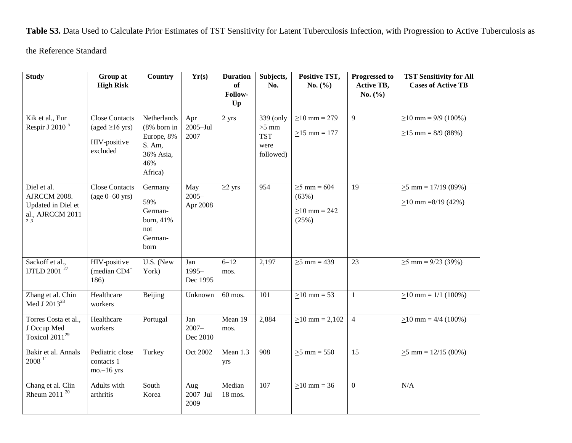**Table S3.** Data Used to Calculate Prior Estimates of TST Sensitivity for Latent Tuberculosis Infection, with Progression to Active Tuberculosis as

the Reference Standard

| <b>Study</b>                                                                 | Group at<br><b>High Risk</b>                                              | <b>Country</b>                                                                       | Yr(s)                       | <b>Duration</b><br>of<br>Follow-<br>Up | Subjects,<br>No.                                        | Positive TST,<br>No. $(\% )$                              | <b>Progressed to</b><br><b>Active TB,</b><br>No. $(\% )$ | <b>TST Sensitivity for All</b><br><b>Cases of Active TB</b> |
|------------------------------------------------------------------------------|---------------------------------------------------------------------------|--------------------------------------------------------------------------------------|-----------------------------|----------------------------------------|---------------------------------------------------------|-----------------------------------------------------------|----------------------------------------------------------|-------------------------------------------------------------|
| Kik et al., Eur<br>Respir J 2010 <sup>5</sup>                                | <b>Close Contacts</b><br>(aged $\geq$ 16 yrs)<br>HIV-positive<br>excluded | Netherlands<br>$(8\%$ born in<br>Europe, 8%<br>S. Am,<br>36% Asia,<br>46%<br>Africa) | Apr<br>$2005 -$ Jul<br>2007 | 2 yrs                                  | 339 (only<br>$>5$ mm<br><b>TST</b><br>were<br>followed) | $\geq$ 10 mm = 279<br>$\geq$ 15 mm = 177                  | 9                                                        | $\geq$ 10 mm = 9/9 (100%)<br>$\geq$ 15 mm = 8/9 (88%)       |
| Diel et al.<br>AJRCCM 2008.<br>Updated in Diel et<br>al., AJRCCM 2011<br>2.3 | <b>Close Contacts</b><br>$(age 0-60 yrs)$                                 | Germany<br>59%<br>German-<br>born, 41%<br>not<br>German-<br>born                     | May<br>$2005 -$<br>Apr 2008 | $\geq$ 2 yrs                           | 954                                                     | $\geq$ 5 mm = 604<br>(63%)<br>$\geq$ 10 mm = 242<br>(25%) | $\overline{19}$                                          | $\geq$ 5 mm = 17/19 (89%)<br>$\geq$ 10 mm =8/19 (42%)       |
| Sackoff et al.,<br>IJTLD 2001 <sup>27</sup>                                  | HIV-positive<br>(median CD4 <sup>+</sup><br>186)                          | U.S. (New<br>York)                                                                   | Jan<br>$1995-$<br>Dec 1995  | $6 - 12$<br>mos.                       | 2,197                                                   | $\geq 5$ mm = 439                                         | 23                                                       | $\geq$ 5 mm = 9/23 (39%)                                    |
| Zhang et al. Chin<br>Med J 2013 <sup>28</sup>                                | Healthcare<br>workers                                                     | Beijing                                                                              | Unknown                     | 60 mos.                                | $\overline{101}$                                        | $\geq$ 10 mm = 53                                         | $\mathbf{1}$                                             | $\geq$ 10 mm = 1/1 (100%)                                   |
| Torres Costa et al.,<br>J Occup Med<br>Toxicol $2011^{29}$                   | Healthcare<br>workers                                                     | Portugal                                                                             | Jan<br>$2007 -$<br>Dec 2010 | Mean 19<br>mos.                        | 2,884                                                   | $\geq$ 10 mm = 2,102                                      | $\overline{4}$                                           | $\geq$ 10 mm = 4/4 (100%)                                   |
| Bakir et al. Annals<br>$2008$ <sup>11</sup>                                  | Pediatric close<br>contacts 1<br>$mo$ -16 yrs                             | Turkey                                                                               | Oct 2002                    | Mean 1.3<br>yrs                        | $\overline{908}$                                        | $\geq$ mm = 550                                           | $\overline{15}$                                          | $\geq$ 5 mm = 12/15 (80%)                                   |
| Chang et al. Clin<br>Rheum 2011 <sup>20</sup>                                | Adults with<br>arthritis                                                  | South<br>Korea                                                                       | Aug<br>$2007 -$ Jul<br>2009 | Median<br>18 mos.                      | $\overline{107}$                                        | $>10$ mm = 36                                             | $\overline{0}$                                           | N/A                                                         |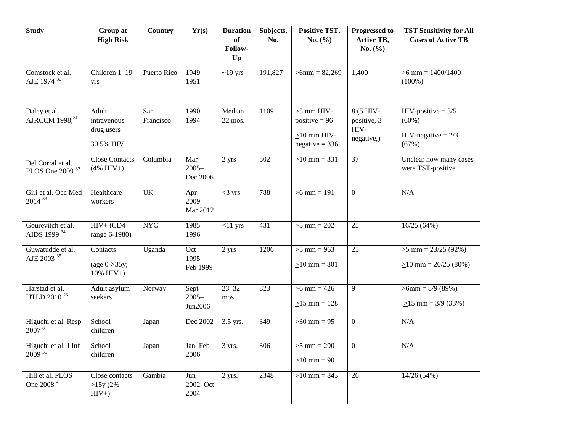| <b>Study</b>                                     | Group at<br><b>High Risk</b>                         | <b>Country</b>   | Yr(s)                       | <b>Duration</b><br>of | Subjects,<br>No. | Positive TST,<br>No. $(\% )$                                                 | <b>Progressed to</b><br><b>Active TB,</b>       | <b>TST Sensitivity for All</b><br><b>Cases of Active TB</b>        |
|--------------------------------------------------|------------------------------------------------------|------------------|-----------------------------|-----------------------|------------------|------------------------------------------------------------------------------|-------------------------------------------------|--------------------------------------------------------------------|
|                                                  |                                                      |                  |                             | Follow-<br>Up         |                  |                                                                              | No. $(\% )$                                     |                                                                    |
| Comstock et al.<br>AJE 1974 30                   | Children 1-19<br>yrs                                 | Puerto Rico      | $1949-$<br>1951             | $~19$ yrs             | 191,827          | $\geq 6$ mm = 82,269                                                         | 1,400                                           | $\geq 6$ mm = 1400/1400<br>$(100\%)$                               |
| Daley et al.<br>AJRCCM 1998; <sup>31</sup>       | Adult<br>intravenous<br>drug users<br>30.5% HIV+     | San<br>Francisco | $1990 -$<br>1994            | Median<br>$22$ mos.   | 1109             | $\geq$ 5 mm HIV-<br>positive = $96$<br>$\geq$ 10 mm HIV-<br>$negative = 336$ | $8(5$ HIV-<br>positive, 3<br>HIV-<br>negative,) | $HIV$ -positive = 3/5<br>$(60\%)$<br>$HIV-negative = 2/3$<br>(67%) |
| Del Corral et al.<br>PLOS One 2009 <sup>32</sup> | <b>Close Contacts</b><br>$(4\% \text{ HIV+})$        | Columbia         | Mar<br>$2005 -$<br>Dec 2006 | 2 yrs                 | 502              | $\geq$ 10 mm = 331                                                           | 37                                              | Unclear how many cases<br>were TST-positive                        |
| Giri et al. Occ Med<br>$2014^{33}$               | Healthcare<br>workers                                | $\overline{UK}$  | Apr<br>$2009 -$<br>Mar 2012 | $<$ 3 yrs             | 788              | $>6$ mm = 191                                                                | $\mathbf{0}$                                    | N/A                                                                |
| Gourevitch et al.<br>AIDS 1999 34                | $HIV+$ (CD4<br>range 6-1980)                         | <b>NYC</b>       | $1985-$<br>1996             | $<11$ yrs             | 431              | $\geq 5$ mm = 202                                                            | 25                                              | 16/25(64%)                                                         |
| Guwatudde et al.<br>AJE 2003 $^{\rm 35}$         | Contacts<br>(age $0$ ->35y;<br>$10\% \text{ HIV+}$ ) | Uganda           | Oct<br>$1995 -$<br>Feb 1999 | 2 yrs                 | 1206             | $\ge 5$ mm = 963<br>$>10$ mm = 801                                           | 25                                              | $\geq$ 5 mm = 23/25 (92%)<br>$>10$ mm = 20/25 (80%)                |
| Harstad et al.<br>IJTLD 2010 <sup>23</sup>       | Adult asylum<br>seekers                              | Norway           | Sept<br>$2005 -$<br>Jun2006 | $23 - 32$<br>mos.     | 823              | $\ge 6$ mm = 426<br>$\geq$ 15 mm = 128                                       | 9                                               | $\geq 6$ mm = 8/9 (89%)<br>$\geq$ 15 mm = 3/9 (33%)                |
| Higuchi et al. Resp<br>2007 <sup>8</sup>         | School<br>children                                   | Japan            | Dec 2002                    | 3.5 yrs.              | 349              | $\geq 30$ mm = 95                                                            | $\boldsymbol{0}$                                | N/A                                                                |
| Higuchi et al. J Inf<br>$2009^{36}$              | School<br>children                                   | Japan            | Jan-Feb<br>2006             | 3 yrs.                | 306              | $\geq 5$ mm = 200<br>$>10$ mm = 90                                           | $\overline{0}$                                  | N/A                                                                |
| Hill et al. PLOS<br>One 2008 <sup>4</sup>        | Close contacts<br>>15y(2%<br>$HIV+$                  | Gambia           | Jun<br>$2002 - Oct$<br>2004 | $2$ yrs.              | 2348             | $\geq$ 10 mm = 843                                                           | 26                                              | 14/26(54%)                                                         |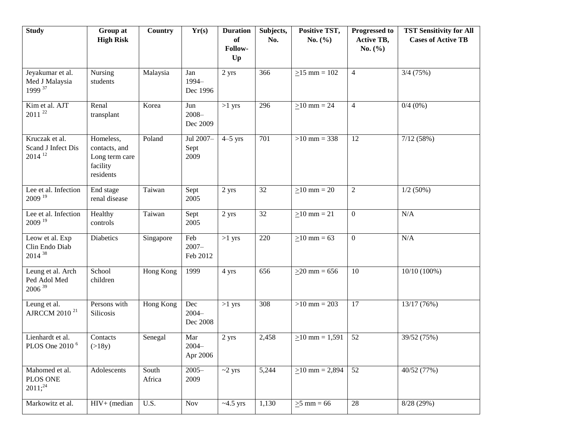| <b>Study</b>                                                 | Group at<br><b>High Risk</b>                                          | <b>Country</b>  | Yr(s)                       | <b>Duration</b><br><b>of</b><br>Follow- | Subjects,<br>No. | Positive TST,<br>No. $(\% )$ | <b>Progressed to</b><br><b>Active TB,</b><br>No. $(\% )$ | <b>TST Sensitivity for All</b><br><b>Cases of Active TB</b> |
|--------------------------------------------------------------|-----------------------------------------------------------------------|-----------------|-----------------------------|-----------------------------------------|------------------|------------------------------|----------------------------------------------------------|-------------------------------------------------------------|
|                                                              |                                                                       |                 |                             | Up                                      |                  |                              |                                                          |                                                             |
| Jeyakumar et al.<br>Med J Malaysia<br>1999 37                | Nursing<br>students                                                   | Malaysia        | Jan<br>1994-<br>Dec 1996    | 2 yrs                                   | 366              | $\geq$ 15 mm = 102           | $\overline{4}$                                           | $3/4$ (75%)                                                 |
| Kim et al. AJT<br>$2011^{22}$                                | Renal<br>transplant                                                   | Korea           | Jun<br>$2008 -$<br>Dec 2009 | $>1$ yrs                                | 296              | $\geq$ 10 mm = 24            | $\overline{4}$                                           | $0/4(0\%)$                                                  |
| Kruczak et al.<br>Scand J Infect Dis<br>$2014$ <sup>12</sup> | Homeless,<br>contacts, and<br>Long term care<br>facility<br>residents | Poland          | Jul 2007-<br>Sept<br>2009   | $4-5$ yrs                               | 701              | $>10$ mm = 338               | 12                                                       | 7/12(58%)                                                   |
| Lee et al. Infection<br>$2009$ <sup>19</sup>                 | End stage<br>renal disease                                            | Taiwan          | Sept<br>2005                | 2 yrs                                   | 32               | $\geq$ 10 mm = 20            | $\overline{2}$                                           | $1/2(50\%)$                                                 |
| Lee et al. Infection<br>$2009$ <sup>19</sup>                 | Healthy<br>controls                                                   | Taiwan          | Sept<br>2005                | 2 yrs                                   | 32               | $>10$ mm = 21                | $\overline{0}$                                           | N/A                                                         |
| Leow et al. Exp<br>Clin Endo Diab<br>$2014^{38}$             | Diabetics                                                             | Singapore       | Feb<br>$2007 -$<br>Feb 2012 | $>1$ yrs                                | 220              | $\geq 10$ mm = 63            | $\overline{0}$                                           | N/A                                                         |
| Leung et al. Arch<br>Ped Adol Med<br>$2006^{39}$             | School<br>children                                                    | Hong Kong       | 1999                        | 4 yrs                                   | 656              | $>20$ mm = 656               | 10                                                       | $10/10(100\%)$                                              |
| Leung et al.<br>AJRCCM 2010 <sup>21</sup>                    | Persons with<br>Silicosis                                             | Hong Kong       | Dec<br>$2004 -$<br>Dec 2008 | $>1$ yrs                                | 308              | $>10$ mm = 203               | 17                                                       | 13/17 (76%)                                                 |
| Lienhardt et al.<br>PLOS One 2010 <sup>6</sup>               | Contacts<br>(>18y)                                                    | Senegal         | Mar<br>$2004 -$<br>Apr 2006 | 2 yrs                                   | 2,458            | $>10$ mm = 1,591             | 52                                                       | 39/52 (75%)                                                 |
| Mahomed et al.<br>PLOS ONE<br>$2011;^{24}$                   | Adolescents                                                           | South<br>Africa | $2005 -$<br>2009            | $~2$ yrs                                | 5,244            | $\geq$ 10 mm = 2,894         | 52                                                       | 40/52 (77%)                                                 |
| Markowitz et al.                                             | $HIV+$ (median                                                        | U.S.            | Nov                         | $~1.5$ yrs                              | 1,130            | $\geq$ 5 mm = 66             | 28                                                       | 8/28 (29%)                                                  |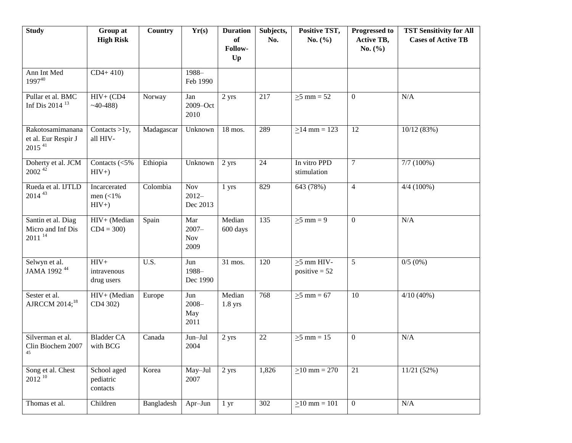| <b>Study</b>                                                    | Group at<br><b>High Risk</b>                       | <b>Country</b> | Yr(s)                                 | <b>Duration</b><br>of<br>Follow- | Subjects,<br>No. | Positive TST,<br>No. $(\% )$        | <b>Progressed to</b><br><b>Active TB,</b><br>No. $(\% )$ | <b>TST Sensitivity for All</b><br><b>Cases of Active TB</b> |
|-----------------------------------------------------------------|----------------------------------------------------|----------------|---------------------------------------|----------------------------------|------------------|-------------------------------------|----------------------------------------------------------|-------------------------------------------------------------|
|                                                                 |                                                    |                |                                       | Up                               |                  |                                     |                                                          |                                                             |
| Ann Int Med<br>199740                                           | $CD4+410$                                          |                | 1988-<br>Feb 1990                     |                                  |                  |                                     |                                                          |                                                             |
| Pullar et al. BMC<br>Inf Dis 2014 <sup>13</sup>                 | $HIV+$ (CD4<br>$~140-488$                          | Norway         | Jan<br>2009-Oct<br>2010               | 2 yrs                            | 217              | $\geq$ 5 mm = 52                    | $\boldsymbol{0}$                                         | N/A                                                         |
| Rakotosamimanana<br>et al. Eur Respir J<br>$2015$ <sup>41</sup> | Contacts $>1y$ ,<br>all HIV-                       | Madagascar     | Unknown                               | 18 mos.                          | 289              | $\geq$ 14 mm = 123                  | 12                                                       | 10/12(83%)                                                  |
| Doherty et al. JCM<br>$2002^{42}$                               | Contacts $(<5\%$<br>$HIV+$                         | Ethiopia       | Unknown                               | 2 yrs                            | 24               | In vitro PPD<br>stimulation         | 7                                                        | $7/7(100\%)$                                                |
| Rueda et al. IJTLD<br>$2014^{43}$                               | Incarcerated<br>men $\left( <1\right)$ %<br>$HIV+$ | Colombia       | Nov<br>$2012-$<br>Dec 2013            | 1 yrs                            | 829              | 643 (78%)                           | $\overline{4}$                                           | $4/4(100\%)$                                                |
| Santin et al. Diag<br>Micro and Inf Dis<br>$2011^{14}$          | HIV+ (Median<br>$CD4 = 300$                        | Spain          | Mar<br>$2007 -$<br><b>Nov</b><br>2009 | Median<br>600 days               | 135              | $\geq$ 5 mm = 9                     | $\mathbf{0}$                                             | N/A                                                         |
| Selwyn et al.<br>JAMA 1992 <sup>44</sup>                        | $HIV+$<br>intravenous<br>drug users                | U.S.           | Jun<br>1988-<br>Dec 1990              | 31 mos.                          | 120              | $\geq$ 5 mm HIV-<br>positive $= 52$ | $\mathfrak{S}$                                           | 0/5(0%)                                                     |
| Sester et al.<br>AJRCCM 2014; <sup>18</sup>                     | HIV+ (Median<br>CD4 302)                           | Europe         | Jun<br>$2008 -$<br>May<br>2011        | Median<br>$1.8$ yrs              | 768              | $\geq 5$ mm = 67                    | 10                                                       | $4/10(40\%)$                                                |
| Silverman et al.<br>Clin Biochem 2007<br>45                     | <b>Bladder CA</b><br>with BCG                      | Canada         | Jun-Jul<br>2004                       | 2 yrs                            | 22               | $\geq$ 5 mm = 15                    | $\mathbf{0}$                                             | N/A                                                         |
| Song et al. Chest<br>$2012^{10}$                                | School aged<br>pediatric<br>contacts               | Korea          | May-Jul<br>2007                       | 2 yrs                            | 1,826            | $\geq$ 10 mm = 270                  | 21                                                       | $11/21$ $\overline{(52\%)}$                                 |
| Thomas et al.                                                   | Children                                           | Bangladesh     | Apr-Jun                               | 1 <sub>yr</sub>                  | 302              | $\geq$ 10 mm = 101                  | $\overline{0}$                                           | $\rm N/A$                                                   |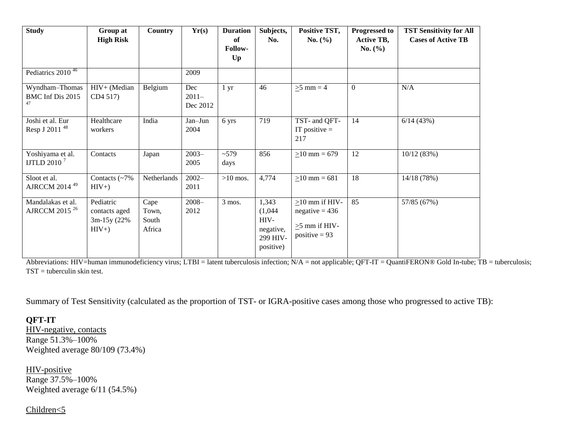| <b>Study</b>                                      | Group at<br><b>High Risk</b>                         | Country                          | Yr(s)               | <b>Duration</b><br>of<br>Follow-<br>$U_{p}$ | Subjects,<br>No.                                               | Positive TST,<br><b>No.</b> $(\% )$                                                | <b>Progressed to</b><br><b>Active TB,</b><br>No. (%) | <b>TST Sensitivity for All</b><br><b>Cases of Active TB</b> |
|---------------------------------------------------|------------------------------------------------------|----------------------------------|---------------------|---------------------------------------------|----------------------------------------------------------------|------------------------------------------------------------------------------------|------------------------------------------------------|-------------------------------------------------------------|
| Pediatrics $2010^{46}$<br>Wyndham-Thomas          | HIV+ (Median                                         | Belgium                          | 2009<br>Dec         | $1 \, yr$                                   | 46                                                             | $>5$ mm = 4                                                                        | $\overline{0}$                                       | N/A                                                         |
| BMC Inf Dis 2015<br>47                            | CD4 517)                                             |                                  | $2011-$<br>Dec 2012 |                                             |                                                                |                                                                                    |                                                      |                                                             |
| Joshi et al. Eur<br>Resp J 2011 <sup>48</sup>     | Healthcare<br>workers                                | India                            | Jan-Jun<br>2004     | 6 yrs                                       | 719                                                            | TST- and QFT-<br>IT positive $=$<br>217                                            | 14                                                   | 6/14(43%)                                                   |
| Yoshiyama et al.<br><b>IJTLD 2010<sup>7</sup></b> | Contacts                                             | Japan                            | $2003 -$<br>2005    | ~1579<br>days                               | 856                                                            | $>10$ mm = 679                                                                     | 12                                                   | 10/12(83%)                                                  |
| Sloot et al.<br>AJRCCM 2014 <sup>49</sup>         | Contacts $\left(\sim 7\right)$<br>$HIV+$             | Netherlands                      | $2002 -$<br>2011    | $>10$ mos.                                  | 4,774                                                          | $>10$ mm = 681                                                                     | 18                                                   | 14/18 (78%)                                                 |
| Mandalakas et al.<br>AJRCCM 2015 <sup>26</sup>    | Pediatric<br>contacts aged<br>$3m-15y(22%$<br>$HIV+$ | Cape<br>Town,<br>South<br>Africa | $2008 -$<br>2012    | $3$ mos.                                    | 1,343<br>(1,044)<br>HIV-<br>negative,<br>299 HIV-<br>positive) | $\geq$ 10 mm if HIV-<br>$negative = 436$<br>$\geq$ 5 mm if HIV-<br>positive $= 93$ | 85                                                   | 57/85 (67%)                                                 |

Abbreviations: HIV=human immunodeficiency virus; LTBI = latent tuberculosis infection; N/A = not applicable; QFT-IT = QuantiFERON® Gold In-tube; TB = tuberculosis;  $TST =$  tuberculin skin test.

Summary of Test Sensitivity (calculated as the proportion of TST- or IGRA-positive cases among those who progressed to active TB):

## **QFT-IT**

HIV-negative, contacts Range 51.3%–100% Weighted average 80/109 (73.4%)

HIV-positive Range 37.5%–100% Weighted average 6/11 (54.5%)

#### Children<5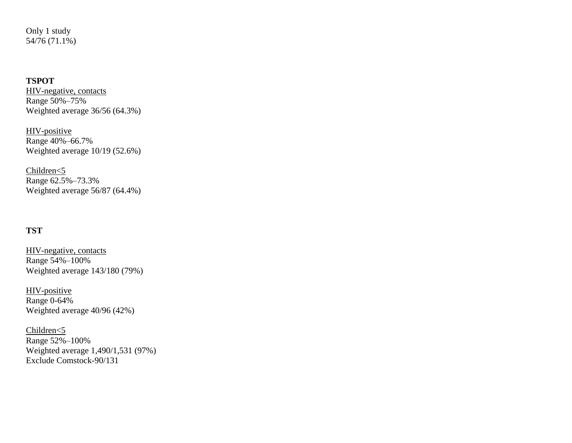Only 1 study 54/76 (71.1%)

## **TSPOT**

HIV-negative, contacts Range 50%–75% Weighted average 36/56 (64.3%)

HIV-positive Range 40%–66.7% Weighted average 10/19 (52.6%)

Children<5 Range 62.5%–73.3% Weighted average 56/87 (64.4%)

## **TST**

HIV-negative, contacts Range 54%–100% Weighted average 143/180 (79%)

HIV-positive Range 0-64% Weighted average 40/96 (42%)

Children<5 Range 52%–100% Weighted average 1,490/1,531 (97%) Exclude Comstock-90/131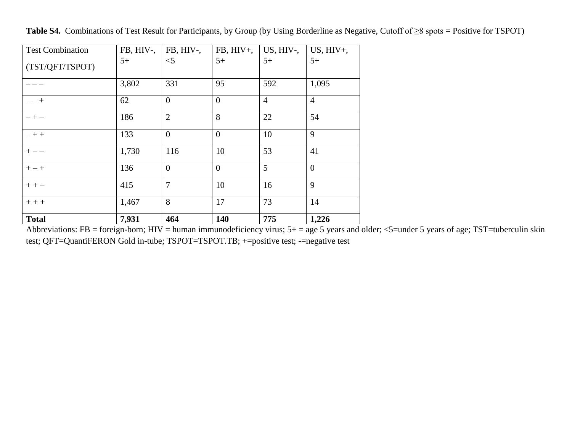| <b>Total</b>            | 7,931     | 464            | 140             | 775             | 1,226           |
|-------------------------|-----------|----------------|-----------------|-----------------|-----------------|
| $++$                    | 1,467     | 8              | 17              | 73              | 14              |
| $++-$                   | 415       | $\overline{7}$ | 10              | 16              | 9               |
| $+-+$                   | 136       | $\overline{0}$ | $\overline{0}$  | 5               | $\overline{0}$  |
| $+ - -$                 | 1,730     | 116            | 10              | 53              | 41              |
| $- + +$                 | 133       | $\overline{0}$ | $\overline{0}$  | 10              | 9               |
| $- + -$                 | 186       | $\overline{2}$ | 8               | 22              | 54              |
| $- - +$                 | 62        | $\overline{0}$ | $\overline{0}$  | $\overline{4}$  | $\overline{4}$  |
|                         | 3,802     | 331            | 95              | 592             | 1,095           |
| (TST/QFT/TSPOT)         | $5+$      | $<$ 5          | $5+$            | $5+$            | $5+$            |
| <b>Test Combination</b> | FB, HIV-, | FB, HIV-,      | $FB$ , $HIV+$ , | $US$ , $HIV$ -, | $US$ , $HIV+$ , |

**Table S4.** Combinations of Test Result for Participants, by Group (by Using Borderline as Negative, Cutoff of ≥8 spots = Positive for TSPOT)

Abbreviations: FB = foreign-born; HIV = human immunodeficiency virus;  $5+$  = age 5 years and older; <5=under 5 years of age; TST=tuberculin skin test; QFT=QuantiFERON Gold in-tube; TSPOT=TSPOT.TB; +=positive test; -=negative test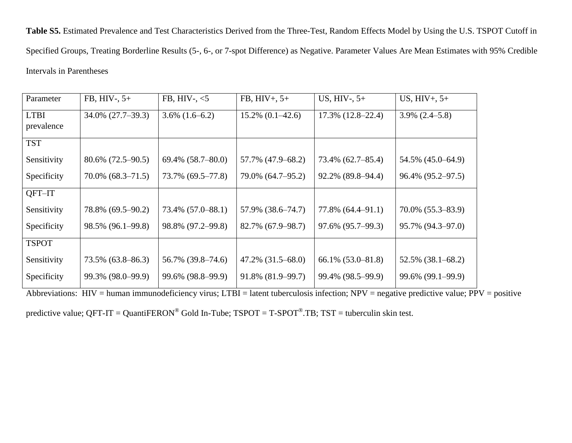**Table S5.** Estimated Prevalence and Test Characteristics Derived from the Three-Test, Random Effects Model by Using the U.S. TSPOT Cutoff in Specified Groups, Treating Borderline Results (5-, 6-, or 7-spot Difference) as Negative. Parameter Values Are Mean Estimates with 95% Credible Intervals in Parentheses

| Parameter    | $FB, HIV-, 5+$         | FB, HIV-, $<$ 5     | $FB, HIV+, 5+$         | US, HIV-, $5+$           | $US, HIV+, 5+$         |
|--------------|------------------------|---------------------|------------------------|--------------------------|------------------------|
| <b>LTBI</b>  | $34.0\% (27.7 - 39.3)$ | $3.6\%$ $(1.6-6.2)$ | $15.2\% (0.1 - 42.6)$  | $17.3\%$ $(12.8-22.4)$   | $3.9\% (2.4 - 5.8)$    |
| prevalence   |                        |                     |                        |                          |                        |
| <b>TST</b>   |                        |                     |                        |                          |                        |
| Sensitivity  | $80.6\%$ (72.5–90.5)   | 69.4% (58.7-80.0)   | 57.7% (47.9–68.2)      | 73.4% (62.7-85.4)        | 54.5% (45.0–64.9)      |
| Specificity  | $70.0\%$ $(68.3-71.5)$ | 73.7% (69.5–77.8)   | 79.0% (64.7–95.2)      | 92.2% (89.8–94.4)        | 96.4% (95.2–97.5)      |
| QFT-IT       |                        |                     |                        |                          |                        |
| Sensitivity  | 78.8% (69.5–90.2)      | 73.4% (57.0–88.1)   | 57.9% (38.6–74.7)      | $77.8\%$ $(64.4 - 91.1)$ | $70.0\%$ $(55.3-83.9)$ |
| Specificity  | 98.5% (96.1–99.8)      | 98.8% (97.2–99.8)   | 82.7% (67.9–98.7)      | 97.6% (95.7–99.3)        | 95.7% (94.3–97.0)      |
| <b>TSPOT</b> |                        |                     |                        |                          |                        |
| Sensitivity  | 73.5% (63.8–86.3)      | 56.7% (39.8–74.6)   | $47.2\%$ $(31.5-68.0)$ | 66.1% (53.0–81.8)        | $52.5\%$ $(38.1-68.2)$ |
| Specificity  | 99.3% (98.0–99.9)      | 99.6% (98.8–99.9)   | 91.8% (81.9–99.7)      | 99.4% (98.5–99.9)        | 99.6% (99.1–99.9)      |

Abbreviations: HIV = human immunodeficiency virus; LTBI = latent tuberculosis infection; NPV = negative predictive value; PPV = positive

predictive value; QFT-IT = QuantiFERON® Gold In-Tube; TSPOT = T-SPOT®.TB; TST = tuberculin skin test.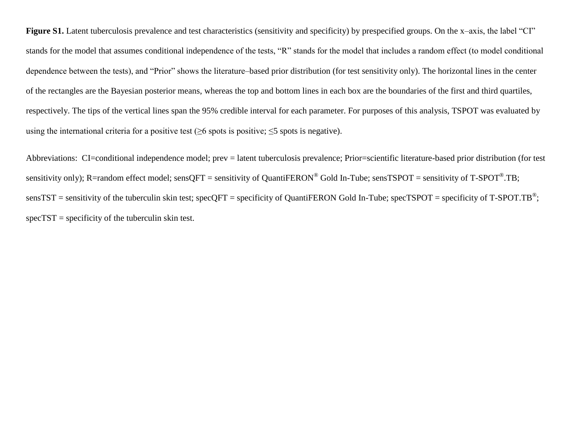Figure S1. Latent tuberculosis prevalence and test characteristics (sensitivity and specificity) by prespecified groups. On the x–axis, the label "CI" stands for the model that assumes conditional independence of the tests, "R" stands for the model that includes a random effect (to model conditional dependence between the tests), and "Prior" shows the literature–based prior distribution (for test sensitivity only). The horizontal lines in the center of the rectangles are the Bayesian posterior means, whereas the top and bottom lines in each box are the boundaries of the first and third quartiles, respectively. The tips of the vertical lines span the 95% credible interval for each parameter. For purposes of this analysis, TSPOT was evaluated by using the international criteria for a positive test ( $\geq 6$  spots is positive;  $\leq 5$  spots is negative).

Abbreviations: CI=conditional independence model; prev = latent tuberculosis prevalence; Prior=scientific literature-based prior distribution (for test sensitivity only); R=random effect model; sensQFT = sensitivity of QuantiFERON® Gold In-Tube; sensTSPOT = sensitivity of T-SPOT®.TB; sensTST = sensitivity of the tuberculin skin test; specQFT = specificity of QuantiFERON Gold In-Tube; specTSPOT = specificity of T-SPOT.TB<sup>®</sup>;  $spectST = specificity of the tuberculin skin test.$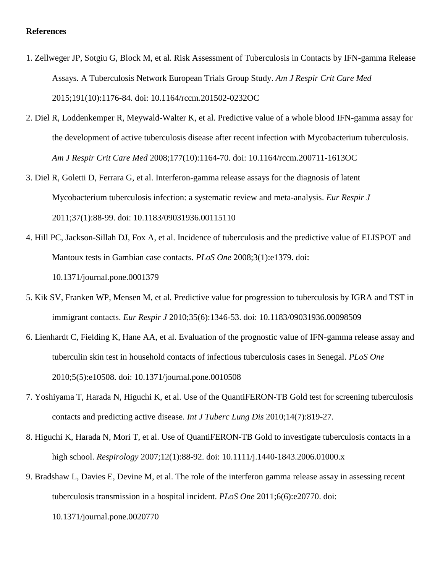#### **References**

- 1. Zellweger JP, Sotgiu G, Block M, et al. Risk Assessment of Tuberculosis in Contacts by IFN-gamma Release Assays. A Tuberculosis Network European Trials Group Study. *Am J Respir Crit Care Med* 2015;191(10):1176-84. doi: 10.1164/rccm.201502-0232OC
- 2. Diel R, Loddenkemper R, Meywald-Walter K, et al. Predictive value of a whole blood IFN-gamma assay for the development of active tuberculosis disease after recent infection with Mycobacterium tuberculosis. *Am J Respir Crit Care Med* 2008;177(10):1164-70. doi: 10.1164/rccm.200711-1613OC
- 3. Diel R, Goletti D, Ferrara G, et al. Interferon-gamma release assays for the diagnosis of latent Mycobacterium tuberculosis infection: a systematic review and meta-analysis. *Eur Respir J* 2011;37(1):88-99. doi: 10.1183/09031936.00115110
- 4. Hill PC, Jackson-Sillah DJ, Fox A, et al. Incidence of tuberculosis and the predictive value of ELISPOT and Mantoux tests in Gambian case contacts. *PLoS One* 2008;3(1):e1379. doi: 10.1371/journal.pone.0001379
- 5. Kik SV, Franken WP, Mensen M, et al. Predictive value for progression to tuberculosis by IGRA and TST in immigrant contacts. *Eur Respir J* 2010;35(6):1346-53. doi: 10.1183/09031936.00098509
- 6. Lienhardt C, Fielding K, Hane AA, et al. Evaluation of the prognostic value of IFN-gamma release assay and tuberculin skin test in household contacts of infectious tuberculosis cases in Senegal. *PLoS One* 2010;5(5):e10508. doi: 10.1371/journal.pone.0010508
- 7. Yoshiyama T, Harada N, Higuchi K, et al. Use of the QuantiFERON-TB Gold test for screening tuberculosis contacts and predicting active disease. *Int J Tuberc Lung Dis* 2010;14(7):819-27.
- 8. Higuchi K, Harada N, Mori T, et al. Use of QuantiFERON-TB Gold to investigate tuberculosis contacts in a high school. *Respirology* 2007;12(1):88-92. doi: 10.1111/j.1440-1843.2006.01000.x
- 9. Bradshaw L, Davies E, Devine M, et al. The role of the interferon gamma release assay in assessing recent tuberculosis transmission in a hospital incident. *PLoS One* 2011;6(6):e20770. doi:

10.1371/journal.pone.0020770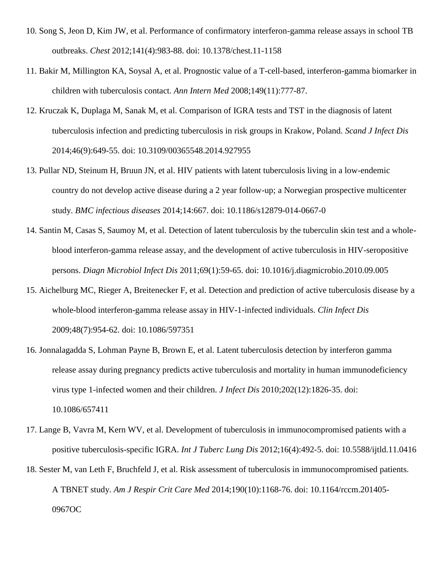- 10. Song S, Jeon D, Kim JW, et al. Performance of confirmatory interferon-gamma release assays in school TB outbreaks. *Chest* 2012;141(4):983-88. doi: 10.1378/chest.11-1158
- 11. Bakir M, Millington KA, Soysal A, et al. Prognostic value of a T-cell-based, interferon-gamma biomarker in children with tuberculosis contact. *Ann Intern Med* 2008;149(11):777-87.
- 12. Kruczak K, Duplaga M, Sanak M, et al. Comparison of IGRA tests and TST in the diagnosis of latent tuberculosis infection and predicting tuberculosis in risk groups in Krakow, Poland. *Scand J Infect Dis* 2014;46(9):649-55. doi: 10.3109/00365548.2014.927955
- 13. Pullar ND, Steinum H, Bruun JN, et al. HIV patients with latent tuberculosis living in a low-endemic country do not develop active disease during a 2 year follow-up; a Norwegian prospective multicenter study. *BMC infectious diseases* 2014;14:667. doi: 10.1186/s12879-014-0667-0
- 14. Santin M, Casas S, Saumoy M, et al. Detection of latent tuberculosis by the tuberculin skin test and a wholeblood interferon-gamma release assay, and the development of active tuberculosis in HIV-seropositive persons. *Diagn Microbiol Infect Dis* 2011;69(1):59-65. doi: 10.1016/j.diagmicrobio.2010.09.005
- 15. Aichelburg MC, Rieger A, Breitenecker F, et al. Detection and prediction of active tuberculosis disease by a whole-blood interferon-gamma release assay in HIV-1-infected individuals. *Clin Infect Dis* 2009;48(7):954-62. doi: 10.1086/597351
- 16. Jonnalagadda S, Lohman Payne B, Brown E, et al. Latent tuberculosis detection by interferon gamma release assay during pregnancy predicts active tuberculosis and mortality in human immunodeficiency virus type 1-infected women and their children. *J Infect Dis* 2010;202(12):1826-35. doi: 10.1086/657411
- 17. Lange B, Vavra M, Kern WV, et al. Development of tuberculosis in immunocompromised patients with a positive tuberculosis-specific IGRA. *Int J Tuberc Lung Dis* 2012;16(4):492-5. doi: 10.5588/ijtld.11.0416
- 18. Sester M, van Leth F, Bruchfeld J, et al. Risk assessment of tuberculosis in immunocompromised patients. A TBNET study. *Am J Respir Crit Care Med* 2014;190(10):1168-76. doi: 10.1164/rccm.201405- 0967OC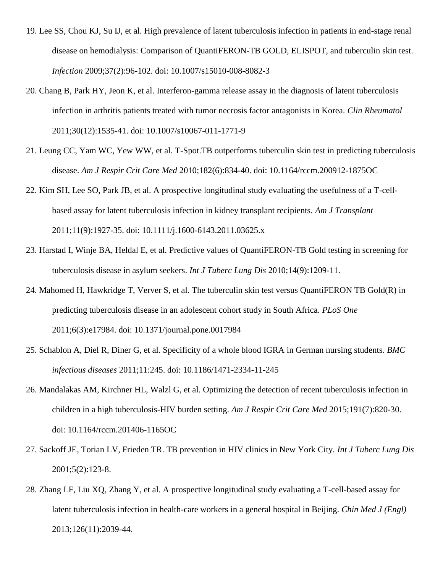- 19. Lee SS, Chou KJ, Su IJ, et al. High prevalence of latent tuberculosis infection in patients in end-stage renal disease on hemodialysis: Comparison of QuantiFERON-TB GOLD, ELISPOT, and tuberculin skin test. *Infection* 2009;37(2):96-102. doi: 10.1007/s15010-008-8082-3
- 20. Chang B, Park HY, Jeon K, et al. Interferon-gamma release assay in the diagnosis of latent tuberculosis infection in arthritis patients treated with tumor necrosis factor antagonists in Korea. *Clin Rheumatol* 2011;30(12):1535-41. doi: 10.1007/s10067-011-1771-9
- 21. Leung CC, Yam WC, Yew WW, et al. T-Spot.TB outperforms tuberculin skin test in predicting tuberculosis disease. *Am J Respir Crit Care Med* 2010;182(6):834-40. doi: 10.1164/rccm.200912-1875OC
- 22. Kim SH, Lee SO, Park JB, et al. A prospective longitudinal study evaluating the usefulness of a T-cellbased assay for latent tuberculosis infection in kidney transplant recipients. *Am J Transplant* 2011;11(9):1927-35. doi: 10.1111/j.1600-6143.2011.03625.x
- 23. Harstad I, Winje BA, Heldal E, et al. Predictive values of QuantiFERON-TB Gold testing in screening for tuberculosis disease in asylum seekers. *Int J Tuberc Lung Dis* 2010;14(9):1209-11.
- 24. Mahomed H, Hawkridge T, Verver S, et al. The tuberculin skin test versus QuantiFERON TB Gold(R) in predicting tuberculosis disease in an adolescent cohort study in South Africa. *PLoS One* 2011;6(3):e17984. doi: 10.1371/journal.pone.0017984
- 25. Schablon A, Diel R, Diner G, et al. Specificity of a whole blood IGRA in German nursing students. *BMC infectious diseases* 2011;11:245. doi: 10.1186/1471-2334-11-245
- 26. Mandalakas AM, Kirchner HL, Walzl G, et al. Optimizing the detection of recent tuberculosis infection in children in a high tuberculosis-HIV burden setting. *Am J Respir Crit Care Med* 2015;191(7):820-30. doi: 10.1164/rccm.201406-1165OC
- 27. Sackoff JE, Torian LV, Frieden TR. TB prevention in HIV clinics in New York City. *Int J Tuberc Lung Dis* 2001;5(2):123-8.
- 28. Zhang LF, Liu XQ, Zhang Y, et al. A prospective longitudinal study evaluating a T-cell-based assay for latent tuberculosis infection in health-care workers in a general hospital in Beijing. *Chin Med J (Engl)* 2013;126(11):2039-44.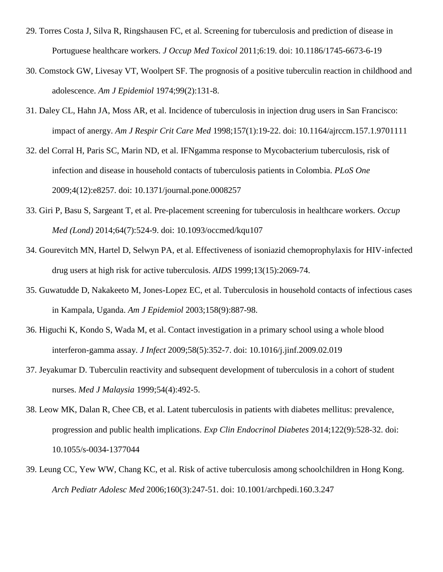- 29. Torres Costa J, Silva R, Ringshausen FC, et al. Screening for tuberculosis and prediction of disease in Portuguese healthcare workers. *J Occup Med Toxicol* 2011;6:19. doi: 10.1186/1745-6673-6-19
- 30. Comstock GW, Livesay VT, Woolpert SF. The prognosis of a positive tuberculin reaction in childhood and adolescence. *Am J Epidemiol* 1974;99(2):131-8.
- 31. Daley CL, Hahn JA, Moss AR, et al. Incidence of tuberculosis in injection drug users in San Francisco: impact of anergy. *Am J Respir Crit Care Med* 1998;157(1):19-22. doi: 10.1164/ajrccm.157.1.9701111
- 32. del Corral H, Paris SC, Marin ND, et al. IFNgamma response to Mycobacterium tuberculosis, risk of infection and disease in household contacts of tuberculosis patients in Colombia. *PLoS One* 2009;4(12):e8257. doi: 10.1371/journal.pone.0008257
- 33. Giri P, Basu S, Sargeant T, et al. Pre-placement screening for tuberculosis in healthcare workers. *Occup Med (Lond)* 2014;64(7):524-9. doi: 10.1093/occmed/kqu107
- 34. Gourevitch MN, Hartel D, Selwyn PA, et al. Effectiveness of isoniazid chemoprophylaxis for HIV-infected drug users at high risk for active tuberculosis. *AIDS* 1999;13(15):2069-74.
- 35. Guwatudde D, Nakakeeto M, Jones-Lopez EC, et al. Tuberculosis in household contacts of infectious cases in Kampala, Uganda. *Am J Epidemiol* 2003;158(9):887-98.
- 36. Higuchi K, Kondo S, Wada M, et al. Contact investigation in a primary school using a whole blood interferon-gamma assay. *J Infect* 2009;58(5):352-7. doi: 10.1016/j.jinf.2009.02.019
- 37. Jeyakumar D. Tuberculin reactivity and subsequent development of tuberculosis in a cohort of student nurses. *Med J Malaysia* 1999;54(4):492-5.
- 38. Leow MK, Dalan R, Chee CB, et al. Latent tuberculosis in patients with diabetes mellitus: prevalence, progression and public health implications. *Exp Clin Endocrinol Diabetes* 2014;122(9):528-32. doi: 10.1055/s-0034-1377044
- 39. Leung CC, Yew WW, Chang KC, et al. Risk of active tuberculosis among schoolchildren in Hong Kong. *Arch Pediatr Adolesc Med* 2006;160(3):247-51. doi: 10.1001/archpedi.160.3.247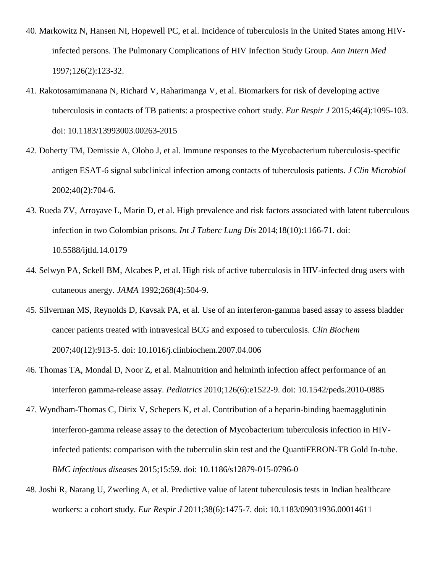- 40. Markowitz N, Hansen NI, Hopewell PC, et al. Incidence of tuberculosis in the United States among HIVinfected persons. The Pulmonary Complications of HIV Infection Study Group. *Ann Intern Med* 1997;126(2):123-32.
- 41. Rakotosamimanana N, Richard V, Raharimanga V, et al. Biomarkers for risk of developing active tuberculosis in contacts of TB patients: a prospective cohort study. *Eur Respir J* 2015;46(4):1095-103. doi: 10.1183/13993003.00263-2015
- 42. Doherty TM, Demissie A, Olobo J, et al. Immune responses to the Mycobacterium tuberculosis-specific antigen ESAT-6 signal subclinical infection among contacts of tuberculosis patients. *J Clin Microbiol* 2002;40(2):704-6.
- 43. Rueda ZV, Arroyave L, Marin D, et al. High prevalence and risk factors associated with latent tuberculous infection in two Colombian prisons. *Int J Tuberc Lung Dis* 2014;18(10):1166-71. doi: 10.5588/ijtld.14.0179
- 44. Selwyn PA, Sckell BM, Alcabes P, et al. High risk of active tuberculosis in HIV-infected drug users with cutaneous anergy. *JAMA* 1992;268(4):504-9.
- 45. Silverman MS, Reynolds D, Kavsak PA, et al. Use of an interferon-gamma based assay to assess bladder cancer patients treated with intravesical BCG and exposed to tuberculosis. *Clin Biochem* 2007;40(12):913-5. doi: 10.1016/j.clinbiochem.2007.04.006
- 46. Thomas TA, Mondal D, Noor Z, et al. Malnutrition and helminth infection affect performance of an interferon gamma-release assay. *Pediatrics* 2010;126(6):e1522-9. doi: 10.1542/peds.2010-0885
- 47. Wyndham-Thomas C, Dirix V, Schepers K, et al. Contribution of a heparin-binding haemagglutinin interferon-gamma release assay to the detection of Mycobacterium tuberculosis infection in HIVinfected patients: comparison with the tuberculin skin test and the QuantiFERON-TB Gold In-tube. *BMC infectious diseases* 2015;15:59. doi: 10.1186/s12879-015-0796-0
- 48. Joshi R, Narang U, Zwerling A, et al. Predictive value of latent tuberculosis tests in Indian healthcare workers: a cohort study. *Eur Respir J* 2011;38(6):1475-7. doi: 10.1183/09031936.00014611